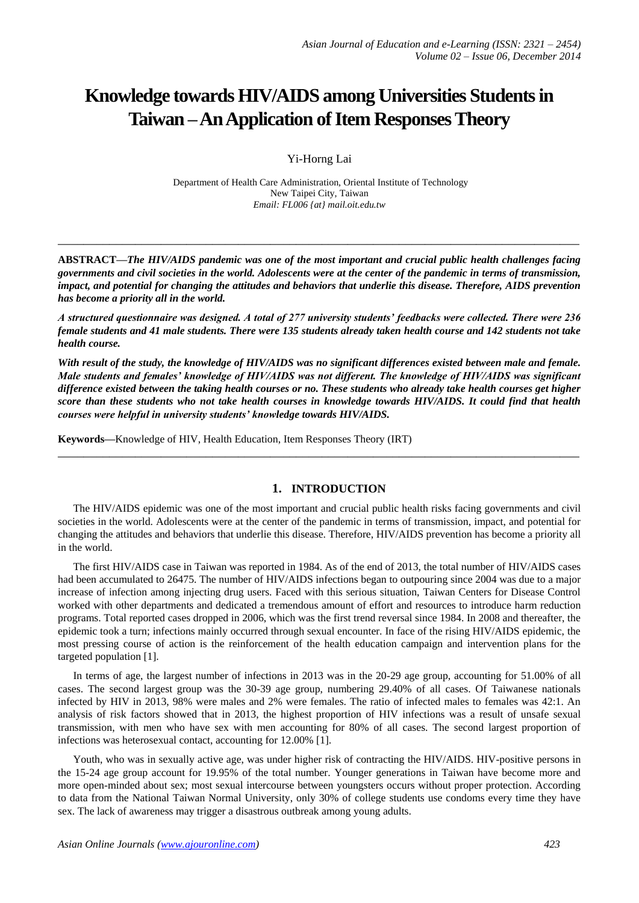# **Knowledge towards HIV/AIDS among Universities Students in Taiwan –An Application of Item Responses Theory**

Yi-Horng Lai

Department of Health Care Administration, Oriental Institute of Technology New Taipei City, Taiwan *Email: FL006 {at} mail.oit.edu.tw*

**ABSTRACT—***The HIV/AIDS pandemic was one of the most important and crucial public health challenges facing governments and civil societies in the world. Adolescents were at the center of the pandemic in terms of transmission, impact, and potential for changing the attitudes and behaviors that underlie this disease. Therefore, AIDS prevention has become a priority all in the world.*

**\_\_\_\_\_\_\_\_\_\_\_\_\_\_\_\_\_\_\_\_\_\_\_\_\_\_\_\_\_\_\_\_\_\_\_\_\_\_\_\_\_\_\_\_\_\_\_\_\_\_\_\_\_\_\_\_\_\_\_\_\_\_\_\_\_\_\_\_\_\_\_\_\_\_\_\_\_\_\_\_\_**

*A structured questionnaire was designed. A total of 277 university students' feedbacks were collected. There were 236 female students and 41 male students. There were 135 students already taken health course and 142 students not take health course.*

*With result of the study, the knowledge of HIV/AIDS was no significant differences existed between male and female. Male students and females' knowledge of HIV/AIDS was not different. The knowledge of HIV/AIDS was significant difference existed between the taking health courses or no. These students who already take health courses get higher score than these students who not take health courses in knowledge towards HIV/AIDS. It could find that health courses were helpful in university students' knowledge towards HIV/AIDS.*

**\_\_\_\_\_\_\_\_\_\_\_\_\_\_\_\_\_\_\_\_\_\_\_\_\_\_\_\_\_\_\_\_\_\_\_\_\_\_\_\_\_\_\_\_\_\_\_\_\_\_\_\_\_\_\_\_\_\_\_\_\_\_\_\_\_\_\_\_\_\_\_\_\_\_\_\_\_\_\_\_\_**

**Keywords—**Knowledge of HIV, Health Education, Item Responses Theory (IRT)

# **1. INTRODUCTION**

The HIV/AIDS epidemic was one of the most important and crucial public health risks facing governments and civil societies in the world. Adolescents were at the center of the pandemic in terms of transmission, impact, and potential for changing the attitudes and behaviors that underlie this disease. Therefore, HIV/AIDS prevention has become a priority all in the world.

The first HIV/AIDS case in Taiwan was reported in 1984. As of the end of 2013, the total number of HIV/AIDS cases had been accumulated to 26475. The number of HIV/AIDS infections began to outpouring since 2004 was due to a major increase of infection among injecting drug users. Faced with this serious situation, Taiwan Centers for Disease Control worked with other departments and dedicated a tremendous amount of effort and resources to introduce harm reduction programs. Total reported cases dropped in 2006, which was the first trend reversal since 1984. In 2008 and thereafter, the epidemic took a turn; infections mainly occurred through sexual encounter. In face of the rising HIV/AIDS epidemic, the most pressing course of action is the reinforcement of the health education campaign and intervention plans for the targeted population [1].

In terms of age, the largest number of infections in 2013 was in the 20-29 age group, accounting for 51.00% of all cases. The second largest group was the 30-39 age group, numbering 29.40% of all cases. Of Taiwanese nationals infected by HIV in 2013, 98% were males and 2% were females. The ratio of infected males to females was 42:1. An analysis of risk factors showed that in 2013, the highest proportion of HIV infections was a result of unsafe sexual transmission, with men who have sex with men accounting for 80% of all cases. The second largest proportion of infections was heterosexual contact, accounting for 12.00% [1].

Youth, who was in sexually active age, was under higher risk of contracting the HIV/AIDS. HIV-positive persons in the 15-24 age group account for 19.95% of the total number. Younger generations in Taiwan have become more and more open-minded about sex; most sexual intercourse between youngsters occurs without proper protection. According to data from the National Taiwan Normal University, only 30% of college students use condoms every time they have sex. The lack of awareness may trigger a disastrous outbreak among young adults.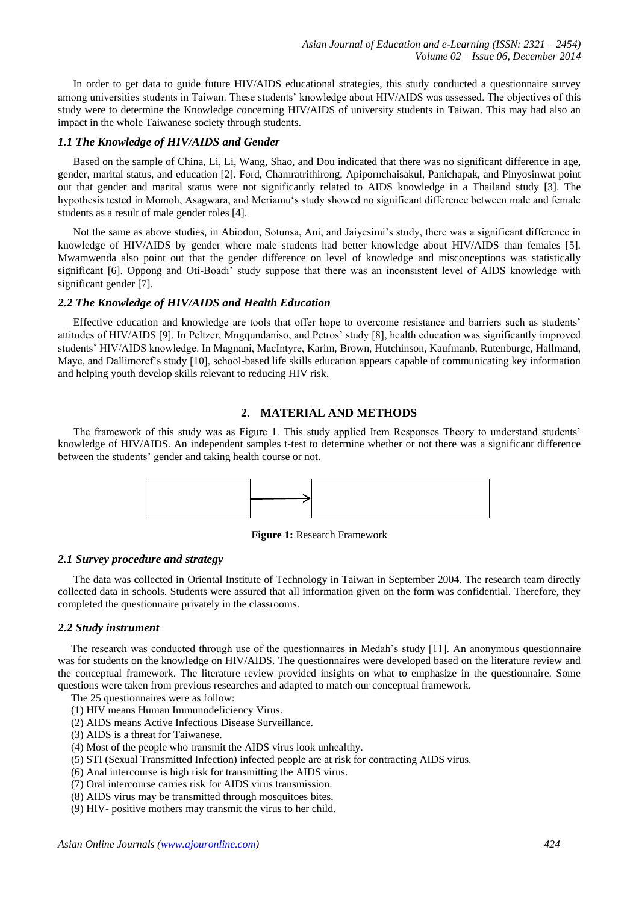In order to get data to guide future HIV/AIDS educational strategies, this study conducted a questionnaire survey among universities students in Taiwan. These students' knowledge about HIV/AIDS was assessed. The objectives of this study were to determine the Knowledge concerning HIV/AIDS of university students in Taiwan. This may had also an impact in the whole Taiwanese society through students.

## *1.1 The Knowledge of HIV/AIDS and Gender*

Based on the sample of China, Li, Li, Wang, Shao, and Dou indicated that there was no significant difference in age, gender, marital status, and education [2]. Ford, Chamratrithirong, Apipornchaisakul, Panichapak, and Pinyosinwat point out that gender and marital status were not significantly related to AIDS knowledge in a Thailand study [3]. The hypothesis tested in Momoh, Asagwara, and Meriamu's study showed no significant difference between male and female students as a result of male gender roles [4].

Not the same as above studies, in Abiodun, Sotunsa, Ani, and Jaiyesimi's study, there was a significant difference in knowledge of HIV/AIDS by gender where male students had better knowledge about HIV/AIDS than females [5]. Mwamwenda also point out that the gender difference on level of knowledge and misconceptions was statistically significant [6]. Oppong and Oti-Boadi' study suppose that there was an inconsistent level of AIDS knowledge with significant gender [7].

# *2.2 The Knowledge of HIV/AIDS and Health Education*

Effective education and knowledge are tools that offer hope to overcome resistance and barriers such as students' attitudes of HIV/AIDS [9]. In Peltzer, Mngqundaniso, and Petros' study [8], health education was significantly improved students' HIV/AIDS knowledge. In Magnani, MacIntyre, Karim, Brown, Hutchinson, Kaufmanb, Rutenburgc, Hallmand, Maye, and Dallimoref's study [10], school-based life skills education appears capable of communicating key information and helping youth develop skills relevant to reducing HIV risk.

## **2. MATERIAL AND METHODS**

The framework of this study was as Figure 1. This study applied Item Responses Theory to understand students' knowledge of HIV/AIDS. An independent samples t-test to determine whether or not there was a significant difference between the students' gender and taking health course or not.



**Figure 1:** Research Framework

#### *2.1 Survey procedure and strategy*

The data was collected in Oriental Institute of Technology in Taiwan in September 2004. The research team directly collected data in schools. Students were assured that all information given on the form was confidential. Therefore, they completed the questionnaire privately in the classrooms.

#### *2.2 Study instrument*

The research was conducted through use of the questionnaires in Medah's study [11]. An anonymous questionnaire was for students on the knowledge on HIV/AIDS. The questionnaires were developed based on the literature review and the conceptual framework. The literature review provided insights on what to emphasize in the questionnaire. Some questions were taken from previous researches and adapted to match our conceptual framework.

The 25 questionnaires were as follow:

- (1) HIV means Human Immunodeficiency Virus.
- (2) AIDS means Active Infectious Disease Surveillance.
- (3) AIDS is a threat for Taiwanese.
- (4) Most of the people who transmit the AIDS virus look unhealthy.
- (5) STI (Sexual Transmitted Infection) infected people are at risk for contracting AIDS virus.
- (6) Anal intercourse is high risk for transmitting the AIDS virus.
- (7) Oral intercourse carries risk for AIDS virus transmission.
- (8) AIDS virus may be transmitted through mosquitoes bites.
- (9) HIV- positive mothers may transmit the virus to her child.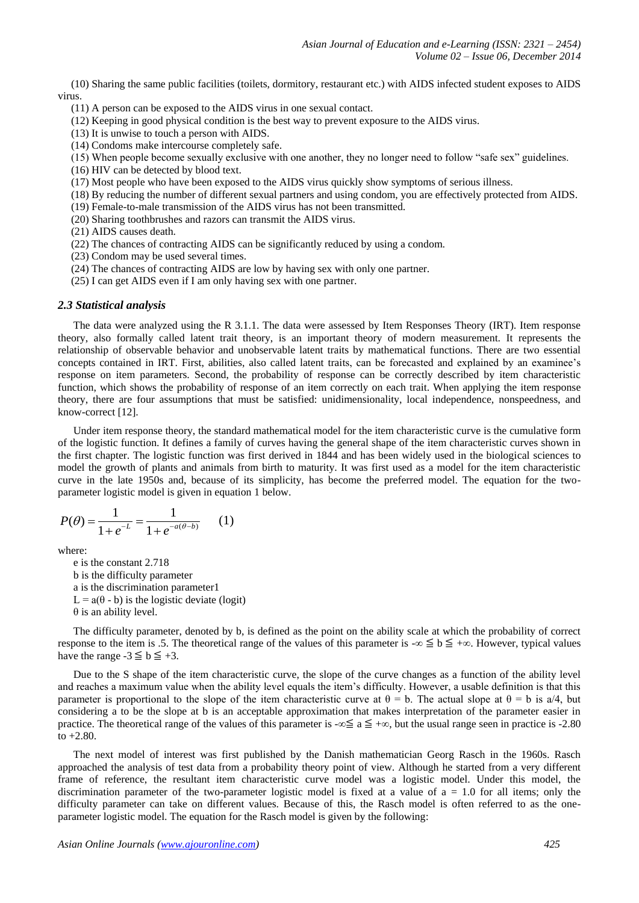(10) Sharing the same public facilities (toilets, dormitory, restaurant etc.) with AIDS infected student exposes to AIDS virus.

(11) A person can be exposed to the AIDS virus in one sexual contact.

(12) Keeping in good physical condition is the best way to prevent exposure to the AIDS virus.

(13) It is unwise to touch a person with AIDS.

(14) Condoms make intercourse completely safe.

(15) When people become sexually exclusive with one another, they no longer need to follow "safe sex" guidelines.

(16) HIV can be detected by blood text.

(17) Most people who have been exposed to the AIDS virus quickly show symptoms of serious illness.

(18) By reducing the number of different sexual partners and using condom, you are effectively protected from AIDS.

(19) Female-to-male transmission of the AIDS virus has not been transmitted.

(20) Sharing toothbrushes and razors can transmit the AIDS virus.

(21) AIDS causes death.

(22) The chances of contracting AIDS can be significantly reduced by using a condom.

(23) Condom may be used several times.

(24) The chances of contracting AIDS are low by having sex with only one partner.

(25) I can get AIDS even if I am only having sex with one partner.

#### *2.3 Statistical analysis*

The data were analyzed using the R 3.1.1. The data were assessed by Item Responses Theory (IRT). Item response theory, also formally called latent trait theory, is an important theory of modern measurement. It represents the relationship of observable behavior and unobservable latent traits by mathematical functions. There are two essential concepts contained in IRT. First, abilities, also called latent traits, can be forecasted and explained by an examinee's response on item parameters. Second, the probability of response can be correctly described by item characteristic function, which shows the probability of response of an item correctly on each trait. When applying the item response theory, there are four assumptions that must be satisfied: unidimensionality, local independence, nonspeedness, and know-correct [12].

Under item response theory, the standard mathematical model for the item characteristic curve is the cumulative form of the logistic function. It defines a family of curves having the general shape of the item characteristic curves shown in the first chapter. The logistic function was first derived in 1844 and has been widely used in the biological sciences to model the growth of plants and animals from birth to maturity. It was first used as a model for the item characteristic curve in the late 1950s and, because of its simplicity, has become the preferred model. The equation for the twoparameter logistic model is given in equation 1 below.

$$
P(\theta) = \frac{1}{1 + e^{-L}} = \frac{1}{1 + e^{-a(\theta - b)}} \qquad (1)
$$

where:

e is the constant 2.718 b is the difficulty parameter a is the discrimination parameter1  $L = a(\theta - b)$  is the logistic deviate (logit) θ is an ability level.

The difficulty parameter, denoted by b, is defined as the point on the ability scale at which the probability of correct response to the item is .5. The theoretical range of the values of this parameter is -∞  $\leq$  b  $\leq$  +∞. However, typical values have the range  $-3 \leq b \leq +3$ .

Due to the S shape of the item characteristic curve, the slope of the curve changes as a function of the ability level and reaches a maximum value when the ability level equals the item's difficulty. However, a usable definition is that this parameter is proportional to the slope of the item characteristic curve at  $\theta = b$ . The actual slope at  $\theta = b$  is a/4, but considering a to be the slope at b is an acceptable approximation that makes interpretation of the parameter easier in practice. The theoretical range of the values of this parameter is -∞  $\leq a \leq +\infty$ , but the usual range seen in practice is -2.80 to  $+2.80$ .

The next model of interest was first published by the Danish mathematician Georg Rasch in the 1960s. Rasch approached the analysis of test data from a probability theory point of view. Although he started from a very different frame of reference, the resultant item characteristic curve model was a logistic model. Under this model, the discrimination parameter of the two-parameter logistic model is fixed at a value of  $a = 1.0$  for all items; only the difficulty parameter can take on different values. Because of this, the Rasch model is often referred to as the oneparameter logistic model. The equation for the Rasch model is given by the following: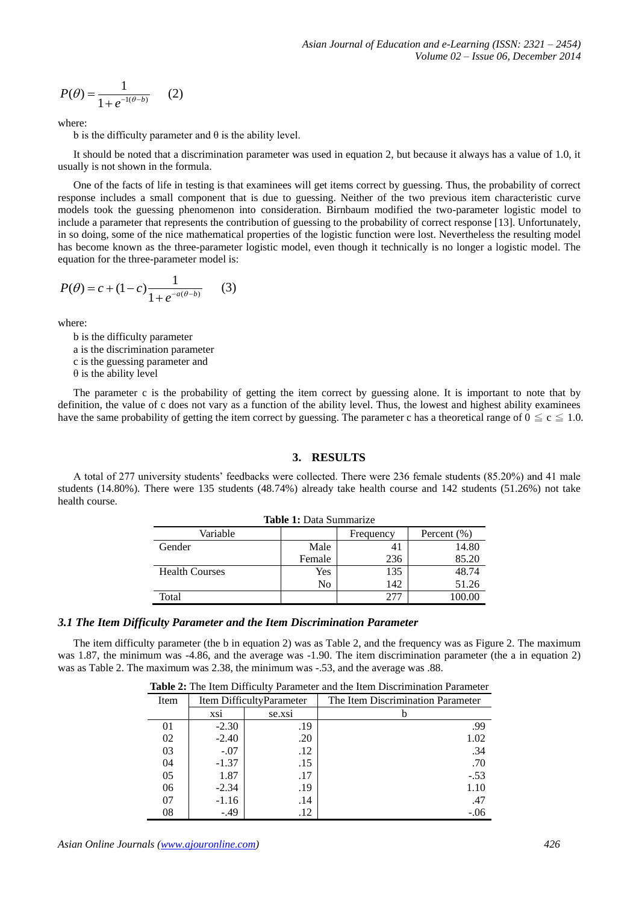$$
P(\theta) = \frac{1}{1 + e^{-1(\theta - b)}} \qquad (2)
$$

where:

b is the difficulty parameter and  $\theta$  is the ability level.

It should be noted that a discrimination parameter was used in equation 2, but because it always has a value of 1.0, it usually is not shown in the formula.

One of the facts of life in testing is that examinees will get items correct by guessing. Thus, the probability of correct response includes a small component that is due to guessing. Neither of the two previous item characteristic curve models took the guessing phenomenon into consideration. Birnbaum modified the two-parameter logistic model to include a parameter that represents the contribution of guessing to the probability of correct response [13]. Unfortunately, in so doing, some of the nice mathematical properties of the logistic function were lost. Nevertheless the resulting model has become known as the three-parameter logistic model, even though it technically is no longer a logistic model. The equation for the three-parameter model is:

$$
P(\theta) = c + (1 - c) \frac{1}{1 + e^{-a(\theta - b)}} \tag{3}
$$

where:

b is the difficulty parameter a is the discrimination parameter c is the guessing parameter and

 $\theta$  is the ability level

The parameter c is the probability of getting the item correct by guessing alone. It is important to note that by definition, the value of c does not vary as a function of the ability level. Thus, the lowest and highest ability examinees have the same probability of getting the item correct by guessing. The parameter c has a theoretical range of  $0 \le c \le 1.0$ .

# **3. RESULTS**

A total of 277 university students' feedbacks were collected. There were 236 female students (85.20%) and 41 male students (14.80%). There were 135 students (48.74%) already take health course and 142 students (51.26%) not take health course.

| Table 1: Data Summanze |        |           |             |  |  |
|------------------------|--------|-----------|-------------|--|--|
| Variable               |        | Frequency | Percent (%) |  |  |
| Gender                 | Male   | 41        | 14.80       |  |  |
|                        | Female | 236       | 85.20       |  |  |
| <b>Health Courses</b>  | Yes    | 135       | 48.74       |  |  |
|                        | No     | 142       | 51.26       |  |  |
| Total                  |        | 277       | 100.00      |  |  |

#### **Table 1:** Data Summarize

# *3.1 The Item Difficulty Parameter and the Item Discrimination Parameter*

The item difficulty parameter (the b in equation 2) was as Table 2, and the frequency was as Figure 2. The maximum was 1.87, the minimum was -4.86, and the average was -1.90. The item discrimination parameter (the a in equation 2) was as Table 2. The maximum was 2.38, the minimum was -.53, and the average was .88.

| Item | Item DifficultyParameter |        | The Item Discrimination Parameter |
|------|--------------------------|--------|-----------------------------------|
|      | XS1                      | se.xsi |                                   |
| 01   | $-2.30$                  | .19    | .99                               |
| 02   | $-2.40$                  | .20    | 1.02                              |
| 03   | $-.07$                   | .12    | .34                               |
| 04   | $-1.37$                  | .15    | .70                               |
| 05   | 1.87                     | .17    | $-.53$                            |
| 06   | $-2.34$                  | .19    | 1.10                              |
| 07   | $-1.16$                  | .14    | .47                               |
| 08   | $-0.49$                  | .12    | $-.06$                            |

**Table 2:** The Item Difficulty Parameter and the Item Discrimination Parameter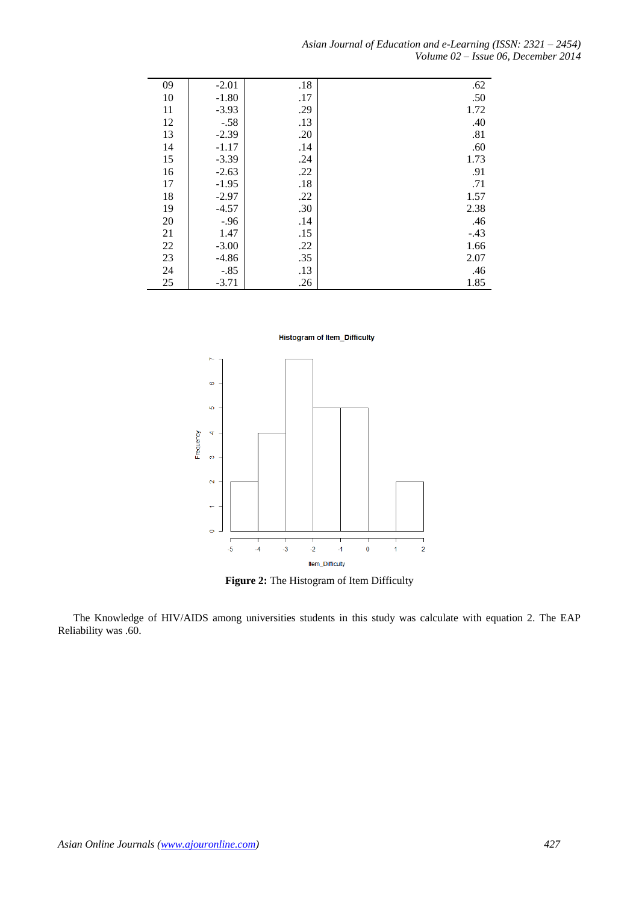*Asian Journal of Education and e-Learning (ISSN: 2321 – 2454) Volume 02 – Issue 06, December 2014*

| 09     | $-2.01$ | .18 | .62    |
|--------|---------|-----|--------|
| 10     | $-1.80$ | .17 | .50    |
| 11     | $-3.93$ | .29 | 1.72   |
| 12     | $-.58$  | .13 | .40    |
| 13     | $-2.39$ | .20 | .81    |
| 14     | $-1.17$ | .14 | .60    |
| 15     | $-3.39$ | .24 | 1.73   |
| 16     | $-2.63$ | .22 | .91    |
| 17     | $-1.95$ | .18 | .71    |
| 18     | $-2.97$ | .22 | 1.57   |
| 19     | $-4.57$ | .30 | 2.38   |
| 20     | $-.96$  | .14 | .46    |
| 21     | 1.47    | .15 | $-.43$ |
| $22\,$ | $-3.00$ | .22 | 1.66   |
| 23     | $-4.86$ | .35 | 2.07   |
| 24     | $-.85$  | .13 | .46    |
| 25     | $-3.71$ | .26 | 1.85   |

**Histogram of Item\_Difficulty** 



**Figure 2:** The Histogram of Item Difficulty

The Knowledge of HIV/AIDS among universities students in this study was calculate with equation 2. The EAP Reliability was .60.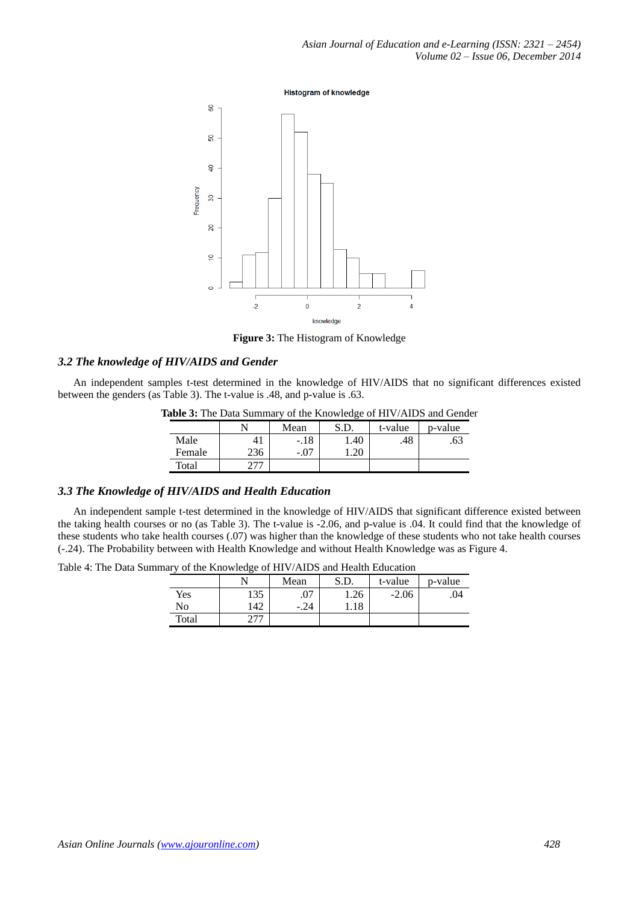**Histogram of knowledge** 



**Figure 3:** The Histogram of Knowledge

# *3.2 The knowledge of HIV/AIDS and Gender*

An independent samples t-test determined in the knowledge of HIV/AIDS that no significant differences existed between the genders (as Table 3). The t-value is .48, and p-value is .63.

| table of the Data Banning , of the Knowledge of HI (71 KD) and Ochu |                |        |      |         |         |  |
|---------------------------------------------------------------------|----------------|--------|------|---------|---------|--|
|                                                                     |                | Mean   | S.D. | t-value | p-value |  |
| Male                                                                | 4 <sub>1</sub> | $-.18$ | .40  | .48     | .63     |  |
| Female                                                              | 236            | -.07   |      |         |         |  |
| Total                                                               |                |        |      |         |         |  |

**Table 3:** The Data Summary of the Knowledge of HIV/AIDS and Gender

# *3.3 The Knowledge of HIV/AIDS and Health Education*

An independent sample t-test determined in the knowledge of HIV/AIDS that significant difference existed between the taking health courses or no (as Table 3). The t-value is -2.06, and p-value is .04. It could find that the knowledge of these students who take health courses (.07) was higher than the knowledge of these students who not take health courses (-.24). The Probability between with Health Knowledge and without Health Knowledge was as Figure 4.

Table 4: The Data Summary of the Knowledge of HIV/AIDS and Health Education

|                |     | Mean   | S.D. | t-value | p-value |
|----------------|-----|--------|------|---------|---------|
| Yes            | 135 | .07    | 1.26 | $-2.06$ | .04     |
| N <sub>0</sub> | 142 | $-.24$ | 1.18 |         |         |
| Total          |     |        |      |         |         |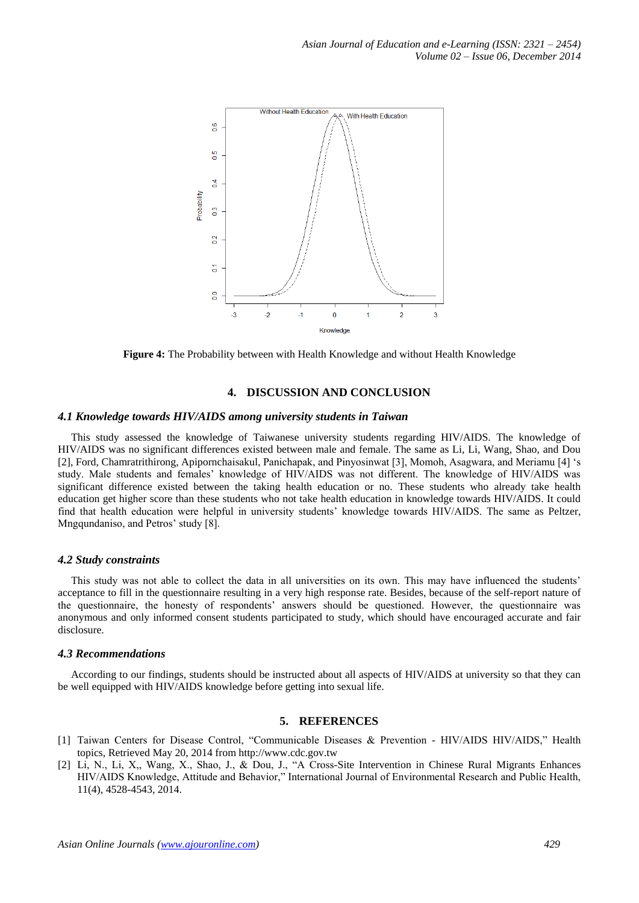

**Figure 4:** The Probability between with Health Knowledge and without Health Knowledge

# **4. DISCUSSION AND CONCLUSION**

## *4.1 Knowledge towards HIV/AIDS among university students in Taiwan*

This study assessed the knowledge of Taiwanese university students regarding HIV/AIDS. The knowledge of HIV/AIDS was no significant differences existed between male and female. The same as Li, Li, Wang, Shao, and Dou [2], Ford, Chamratrithirong, Apipornchaisakul, Panichapak, and Pinyosinwat [3], Momoh, Asagwara, and Meriamu [4] 's study. Male students and females' knowledge of HIV/AIDS was not different. The knowledge of HIV/AIDS was significant difference existed between the taking health education or no. These students who already take health education get higher score than these students who not take health education in knowledge towards HIV/AIDS. It could find that health education were helpful in university students' knowledge towards HIV/AIDS. The same as Peltzer, Mngqundaniso, and Petros' study [8].

#### *4.2 Study constraints*

This study was not able to collect the data in all universities on its own. This may have influenced the students' acceptance to fill in the questionnaire resulting in a very high response rate. Besides, because of the self-report nature of the questionnaire, the honesty of respondents' answers should be questioned. However, the questionnaire was anonymous and only informed consent students participated to study, which should have encouraged accurate and fair disclosure.

#### *4.3 Recommendations*

According to our findings, students should be instructed about all aspects of HIV/AIDS at university so that they can be well equipped with HIV/AIDS knowledge before getting into sexual life.

#### **5. REFERENCES**

- [1] Taiwan Centers for Disease Control, "Communicable Diseases & Prevention HIV/AIDS HIV/AIDS," Health topics, Retrieved May 20, 2014 from http://www.cdc.gov.tw
- [2] Li, N., Li, X,, Wang, X., Shao, J., & Dou, J., "A Cross-Site Intervention in Chinese Rural Migrants Enhances HIV/AIDS Knowledge, Attitude and Behavior," International Journal of Environmental Research and Public Health, 11(4), 4528-4543, 2014.